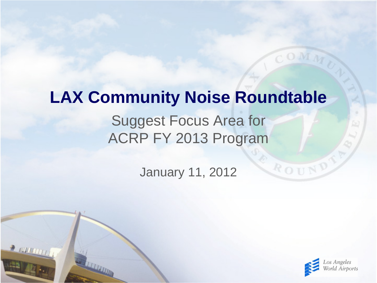# **LAX Community Noise Roundtable**

#### Suggest Focus Area for ACRP FY 2013 Program

January 11, 2012

 $2000000$ 



ROUND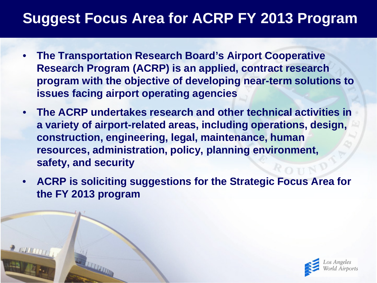- **The Transportation Research Board's Airport Cooperative Research Program (ACRP) is an applied, contract research program with the objective of developing near-term solutions to issues facing airport operating agencies**
- **The ACRP undertakes research and other technical activities in a variety of airport-related areas, including operations, design, construction, engineering, legal, maintenance, human resources, administration, policy, planning environment, safety, and security**
- **ACRP is soliciting suggestions for the Strategic Focus Area for the FY 2013 program**

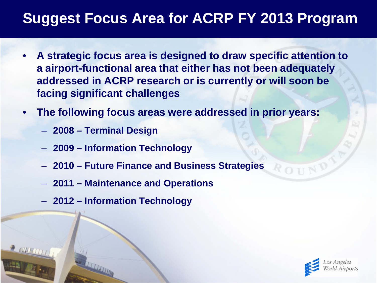- **A strategic focus area is designed to draw specific attention to a airport-functional area that either has not been adequately addressed in ACRP research or is currently or will soon be facing significant challenges**
- **The following focus areas were addressed in prior years:**
	- **2008 – Terminal Design**
	- **2009 – Information Technology**
	- **2010 – Future Finance and Business Strategies**
	- **2011 – Maintenance and Operations**
	- **2012 – Information Technology**

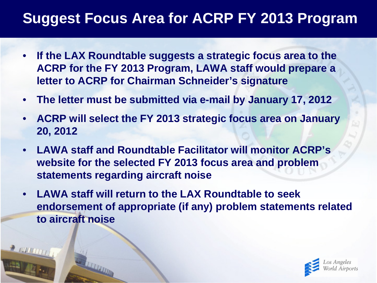- **If the LAX Roundtable suggests a strategic focus area to the ACRP for the FY 2013 Program, LAWA staff would prepare a letter to ACRP for Chairman Schneider's signature**
- **The letter must be submitted via e-mail by January 17, 2012**
- **ACRP will select the FY 2013 strategic focus area on January 20, 2012**
- **LAWA staff and Roundtable Facilitator will monitor ACRP's website for the selected FY 2013 focus area and problem statements regarding aircraft noise**
- **LAWA staff will return to the LAX Roundtable to seek endorsement of appropriate (if any) problem statements related to aircraft noise**